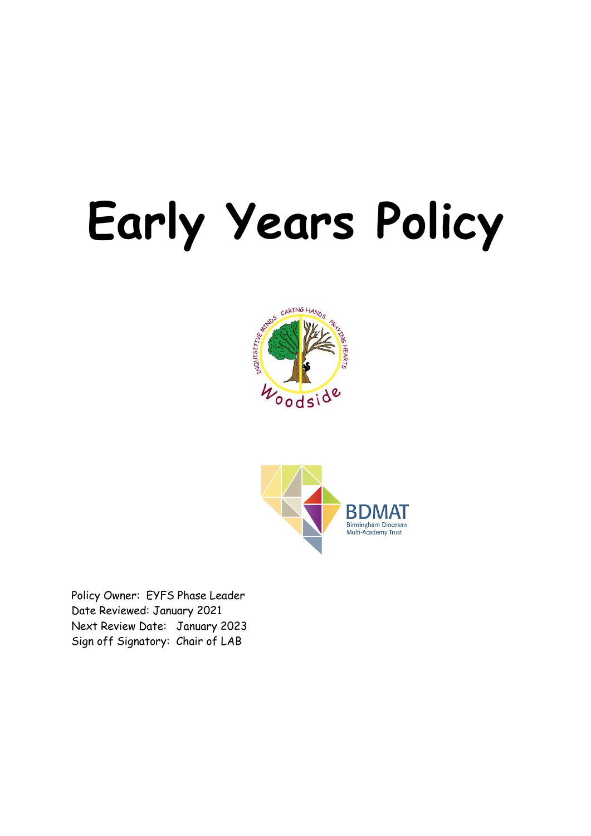# **Early Years Policy**





Policy Owner: EYFS Phase Leader Date Reviewed: January 2021 Next Review Date: January 2023 Sign off Signatory: Chair of LAB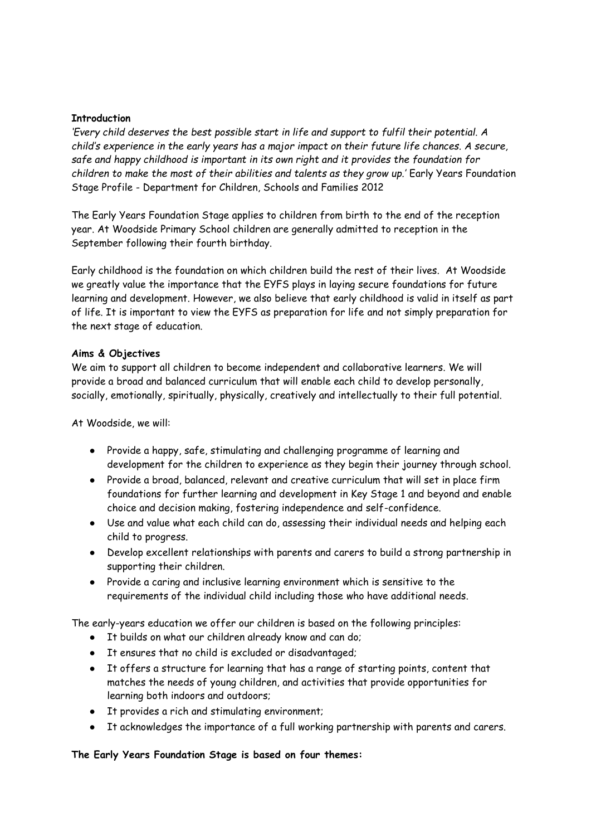#### **Introduction**

*'Every child deserves the best possible start in life and support to fulfil their potential. A child's experience in the early years has a major impact on their future life chances. A secure, safe and happy childhood is important in its own right and it provides the foundation for*  children to make the most of their abilities and talents as they grow up.' Early Years Foundation Stage Profile - Department for Children, Schools and Families 2012

The Early Years Foundation Stage applies to children from birth to the end of the reception year. At Woodside Primary School children are generally admitted to reception in the September following their fourth birthday.

Early childhood is the foundation on which children build the rest of their lives. At Woodside we greatly value the importance that the EYFS plays in laying secure foundations for future learning and development. However, we also believe that early childhood is valid in itself as part of life. It is important to view the EYFS as preparation for life and not simply preparation for the next stage of education.

#### **Aims & Objectives**

We aim to support all children to become independent and collaborative learners. We will provide a broad and balanced curriculum that will enable each child to develop personally, socially, emotionally, spiritually, physically, creatively and intellectually to their full potential.

At Woodside, we will:

- Provide a happy, safe, stimulating and challenging programme of learning and development for the children to experience as they begin their journey through school.
- Provide a broad, balanced, relevant and creative curriculum that will set in place firm foundations for further learning and development in Key Stage 1 and beyond and enable choice and decision making, fostering independence and self-confidence.
- Use and value what each child can do, assessing their individual needs and helping each child to progress.
- Develop excellent relationships with parents and carers to build a strong partnership in supporting their children.
- Provide a caring and inclusive learning environment which is sensitive to the requirements of the individual child including those who have additional needs.

The early-years education we offer our children is based on the following principles:

- It builds on what our children already know and can do;
- It ensures that no child is excluded or disadvantaged;
- It offers a structure for learning that has a range of starting points, content that matches the needs of young children, and activities that provide opportunities for learning both indoors and outdoors;
- It provides a rich and stimulating environment;
- It acknowledges the importance of a full working partnership with parents and carers.

# **The Early Years Foundation Stage is based on four themes:**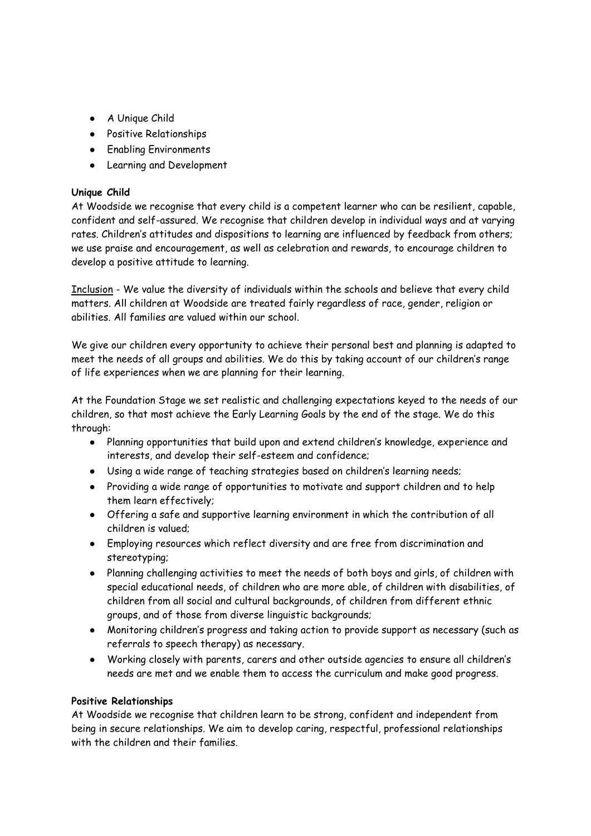- A Unique Child
- Positive Relationships
- Enabling Environments
- Learning and Development

# **Unique Child**

At Woodside we recognise that every child is a competent learner who can be resilient, capable, confident and self-assured. We recognise that children develop in individual ways and at varying rates. Children's attitudes and dispositions to learning are influenced by feedback from others; we use praise and encouragement, as well as celebration and rewards, to encourage children to develop a positive attitude to learning.

Inclusion - We value the diversity of individuals within the schools and believe that every child matters. All children at Woodside are treated fairly regardless of race, gender, religion or abilities. All families are valued within our school.

We give our children every opportunity to achieve their personal best and planning is adapted to meet the needs of all groups and abilities. We do this by taking account of our children's range of life experiences when we are planning for their learning.

At the Foundation Stage we set realistic and challenging expectations keyed to the needs of our children, so that most achieve the Early Learning Goals by the end of the stage. We do this through:

- Planning opportunities that build upon and extend children's knowledge, experience and interests, and develop their self-esteem and confidence;
- Using a wide range of teaching strategies based on children's learning needs;
- Providing a wide range of opportunities to motivate and support children and to help them learn effectively;
- Offering a safe and supportive learning environment in which the contribution of all children is valued;
- Employing resources which reflect diversity and are free from discrimination and stereotyping;
- Planning challenging activities to meet the needs of both boys and girls, of children with special educational needs, of children who are more able, of children with disabilities, of children from all social and cultural backgrounds, of children from different ethnic groups, and of those from diverse linguistic backgrounds;
- Monitoring children's progress and taking action to provide support as necessary (such as referrals to speech therapy) as necessary.
- Working closely with parents, carers and other outside agencies to ensure all children's needs are met and we enable them to access the curriculum and make good progress.

#### **Positive Relationships**

At Woodside we recognise that children learn to be strong, confident and independent from being in secure relationships. We aim to develop caring, respectful, professional relationships with the children and their families.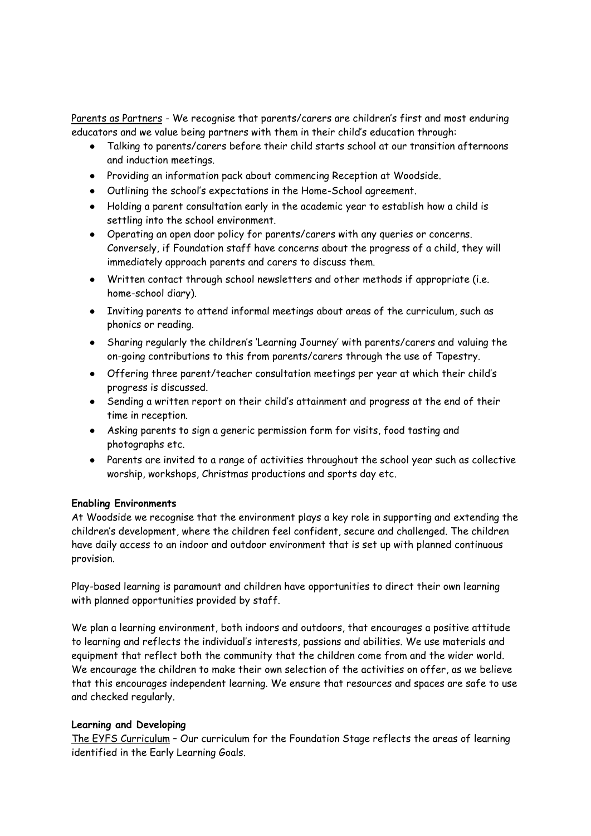Parents as Partners - We recognise that parents/carers are children's first and most enduring educators and we value being partners with them in their child's education through:

- Talking to parents/carers before their child starts school at our transition afternoons and induction meetings.
- Providing an information pack about commencing Reception at Woodside.
- Outlining the school's expectations in the Home-School agreement.
- Holding a parent consultation early in the academic year to establish how a child is settling into the school environment.
- Operating an open door policy for parents/carers with any queries or concerns. Conversely, if Foundation staff have concerns about the progress of a child, they will immediately approach parents and carers to discuss them.
- Written contact through school newsletters and other methods if appropriate (i.e. home-school diary).
- Inviting parents to attend informal meetings about areas of the curriculum, such as phonics or reading.
- Sharing regularly the children's 'Learning Journey' with parents/carers and valuing the on-going contributions to this from parents/carers through the use of Tapestry.
- Offering three parent/teacher consultation meetings per year at which their child's progress is discussed.
- Sending a written report on their child's attainment and progress at the end of their time in reception.
- Asking parents to sign a generic permission form for visits, food tasting and photographs etc.
- Parents are invited to a range of activities throughout the school year such as collective worship, workshops, Christmas productions and sports day etc.

# **Enabling Environments**

At Woodside we recognise that the environment plays a key role in supporting and extending the children's development, where the children feel confident, secure and challenged. The children have daily access to an indoor and outdoor environment that is set up with planned continuous provision.

Play-based learning is paramount and children have opportunities to direct their own learning with planned opportunities provided by staff.

We plan a learning environment, both indoors and outdoors, that encourages a positive attitude to learning and reflects the individual's interests, passions and abilities. We use materials and equipment that reflect both the community that the children come from and the wider world. We encourage the children to make their own selection of the activities on offer, as we believe that this encourages independent learning. We ensure that resources and spaces are safe to use and checked regularly.

#### **Learning and Developing**

The EYFS Curriculum – Our curriculum for the Foundation Stage reflects the areas of learning identified in the Early Learning Goals.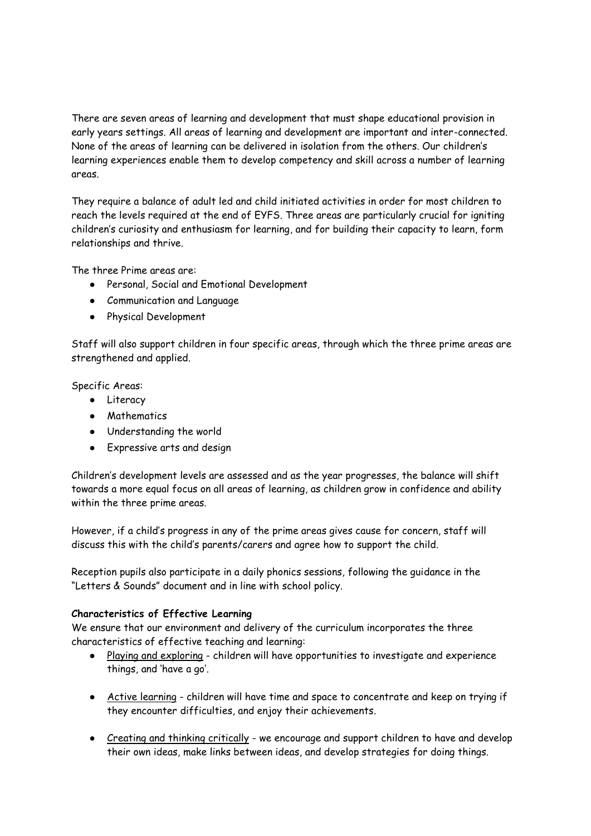There are seven areas of learning and development that must shape educational provision in early years settings. All areas of learning and development are important and inter-connected. None of the areas of learning can be delivered in isolation from the others. Our children's learning experiences enable them to develop competency and skill across a number of learning areas.

They require a balance of adult led and child initiated activities in order for most children to reach the levels required at the end of EYFS. Three areas are particularly crucial for igniting children's curiosity and enthusiasm for learning, and for building their capacity to learn, form relationships and thrive.

The three Prime areas are:

- Personal, Social and Emotional Development
- Communication and Language
- Physical Development

Staff will also support children in four specific areas, through which the three prime areas are strengthened and applied.

Specific Areas:

- Literacy
- Mathematics
- Understanding the world
- Expressive arts and design

Children's development levels are assessed and as the year progresses, the balance will shift towards a more equal focus on all areas of learning, as children grow in confidence and ability within the three prime areas.

However, if a child's progress in any of the prime areas gives cause for concern, staff will discuss this with the child's parents/carers and agree how to support the child.

Reception pupils also participate in a daily phonics sessions, following the guidance in the "Letters & Sounds" document and in line with school policy.

# **Characteristics of Effective Learning**

We ensure that our environment and delivery of the curriculum incorporates the three characteristics of effective teaching and learning:

- Playing and exploring children will have opportunities to investigate and experience things, and 'have a go'.
- Active learning children will have time and space to concentrate and keep on trying if they encounter difficulties, and enjoy their achievements.
- Creating and thinking critically we encourage and support children to have and develop their own ideas, make links between ideas, and develop strategies for doing things.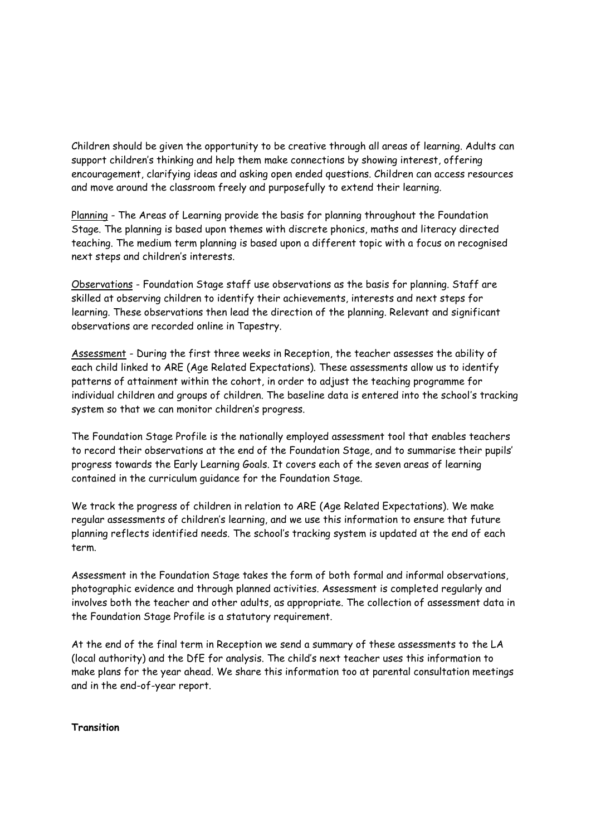Children should be given the opportunity to be creative through all areas of learning. Adults can support children's thinking and help them make connections by showing interest, offering encouragement, clarifying ideas and asking open ended questions. Children can access resources and move around the classroom freely and purposefully to extend their learning.

Planning - The Areas of Learning provide the basis for planning throughout the Foundation Stage. The planning is based upon themes with discrete phonics, maths and literacy directed teaching. The medium term planning is based upon a different topic with a focus on recognised next steps and children's interests.

Observations - Foundation Stage staff use observations as the basis for planning. Staff are skilled at observing children to identify their achievements, interests and next steps for learning. These observations then lead the direction of the planning. Relevant and significant observations are recorded online in Tapestry.

Assessment - During the first three weeks in Reception, the teacher assesses the ability of each child linked to ARE (Age Related Expectations). These assessments allow us to identify patterns of attainment within the cohort, in order to adjust the teaching programme for individual children and groups of children. The baseline data is entered into the school's tracking system so that we can monitor children's progress.

The Foundation Stage Profile is the nationally employed assessment tool that enables teachers to record their observations at the end of the Foundation Stage, and to summarise their pupils' progress towards the Early Learning Goals. It covers each of the seven areas of learning contained in the curriculum guidance for the Foundation Stage.

We track the progress of children in relation to ARE (Age Related Expectations). We make regular assessments of children's learning, and we use this information to ensure that future planning reflects identified needs. The school's tracking system is updated at the end of each term.

Assessment in the Foundation Stage takes the form of both formal and informal observations, photographic evidence and through planned activities. Assessment is completed regularly and involves both the teacher and other adults, as appropriate. The collection of assessment data in the Foundation Stage Profile is a statutory requirement.

At the end of the final term in Reception we send a summary of these assessments to the LA (local authority) and the DfE for analysis. The child's next teacher uses this information to make plans for the year ahead. We share this information too at parental consultation meetings and in the end-of-year report.

**Transition**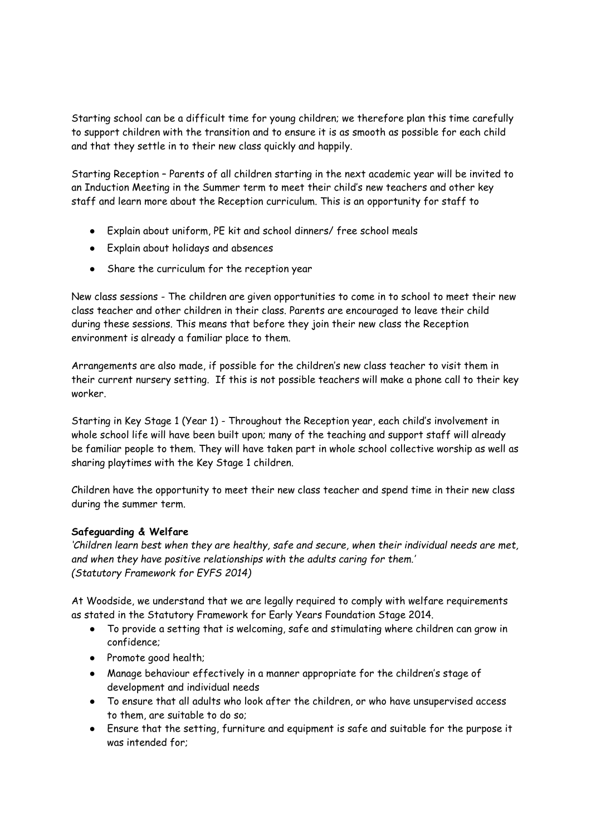Starting school can be a difficult time for young children; we therefore plan this time carefully to support children with the transition and to ensure it is as smooth as possible for each child and that they settle in to their new class quickly and happily.

Starting Reception – Parents of all children starting in the next academic year will be invited to an Induction Meeting in the Summer term to meet their child's new teachers and other key staff and learn more about the Reception curriculum. This is an opportunity for staff to

- Explain about uniform, PE kit and school dinners/ free school meals
- Explain about holidays and absences
- Share the curriculum for the reception year

New class sessions - The children are given opportunities to come in to school to meet their new class teacher and other children in their class. Parents are encouraged to leave their child during these sessions. This means that before they join their new class the Reception environment is already a familiar place to them.

Arrangements are also made, if possible for the children's new class teacher to visit them in their current nursery setting. If this is not possible teachers will make a phone call to their key worker.

Starting in Key Stage 1 (Year 1) - Throughout the Reception year, each child's involvement in whole school life will have been built upon; many of the teaching and support staff will already be familiar people to them. They will have taken part in whole school collective worship as well as sharing playtimes with the Key Stage 1 children.

Children have the opportunity to meet their new class teacher and spend time in their new class during the summer term.

# **Safeguarding & Welfare**

*'Children learn best when they are healthy, safe and secure, when their individual needs are met, and when they have positive relationships with the adults caring for them.' (Statutory Framework for EYFS 2014)* 

At Woodside, we understand that we are legally required to comply with welfare requirements as stated in the Statutory Framework for Early Years Foundation Stage 2014.

- To provide a setting that is welcoming, safe and stimulating where children can grow in confidence;
- Promote good health;
- Manage behaviour effectively in a manner appropriate for the children's stage of development and individual needs
- To ensure that all adults who look after the children, or who have unsupervised access to them, are suitable to do so;
- Ensure that the setting, furniture and equipment is safe and suitable for the purpose it was intended for;